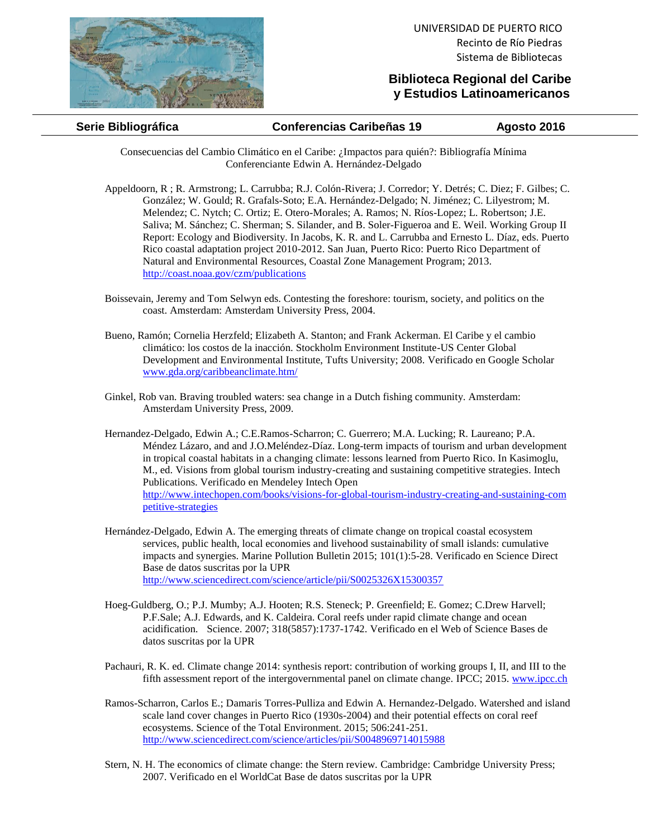

## **Biblioteca Regional del Caribe y Estudios Latinoamericanos**

## **Serie Bibliográfica Conferencias Caribeñas 19 Agosto 2016**

Consecuencias del Cambio Climático en el Caribe: ¿Impactos para quién?: Bibliografía Mínima Conferenciante Edwin A. Hernández-Delgado

- Appeldoorn, R ; R. Armstrong; L. Carrubba; R.J. Colón-Rivera; J. Corredor; Y. Detrés; C. Diez; F. Gilbes; C. González; W. Gould; R. Grafals-Soto; E.A. Hernández-Delgado; N. Jiménez; C. Lilyestrom; M. Melendez; C. Nytch; C. Ortiz; E. Otero-Morales; A. Ramos; N. Ríos-Lopez; L. Robertson; J.E. Saliva; M. Sánchez; C. Sherman; S. Silander, and B. Soler-Figueroa and E. Weil. Working Group II Report: Ecology and Biodiversity. In Jacobs, K. R. and L. Carrubba and Ernesto L. Díaz, eds. Puerto Rico coastal adaptation project 2010-2012. San Juan, Puerto Rico: Puerto Rico Department of Natural and Environmental Resources, Coastal Zone Management Program; 2013. <http://coast.noaa.gov/czm/publications>
- Boissevain, Jeremy and Tom Selwyn eds. Contesting the foreshore: tourism, society, and politics on the coast. Amsterdam: Amsterdam University Press, 2004.
- Bueno, Ramón; Cornelia Herzfeld; Elizabeth A. Stanton; and Frank Ackerman. El Caribe y el cambio climático: los costos de la inacción. Stockholm Environment Institute-US Center Global Development and Environmental Institute, Tufts University; 2008. Verificado en Google Scholar [www.gda.org/caribbeanclimate.htm/](http://www.gda.org/caribbeanclimate.htm/)
- Ginkel, Rob van. Braving troubled waters: sea change in a Dutch fishing community. Amsterdam: Amsterdam University Press, 2009.
- Hernandez-Delgado, Edwin A.; C.E.Ramos-Scharron; C. Guerrero; M.A. Lucking; R. Laureano; P.A. Méndez Lázaro, and and J.O.Meléndez-Díaz. Long-term impacts of tourism and urban development in tropical coastal habitats in a changing climate: lessons learned from Puerto Rico. In Kasimoglu, M., ed. Visions from global tourism industry-creating and sustaining competitive strategies. Intech Publications. Verificado en Mendeley Intech Open [http://www.intechopen.com/books/visions-for-global-tourism-industry-creating-and-sustaining-com](http://www.intechopen.com/books/visions-for-global-tourism-industry-creating-and-sustaining-competitive-strategies) [petitive-strategies](http://www.intechopen.com/books/visions-for-global-tourism-industry-creating-and-sustaining-competitive-strategies)
- Hernández-Delgado, Edwin A. The emerging threats of climate change on tropical coastal ecosystem services, public health, local economies and livehood sustainability of small islands: cumulative impacts and synergies. Marine Pollution Bulletin 2015; 101(1):5-28. Verificado en Science Direct Base de datos suscritas por la UPR <http://www.sciencedirect.com/science/article/pii/S0025326X15300357>
- Hoeg-Guldberg, O.; P.J. Mumby; A.J. Hooten; R.S. Steneck; P. Greenfield; E. Gomez; C.Drew Harvell; P.F.Sale; A.J. Edwards, and K. Caldeira. Coral reefs under rapid climate change and ocean acidification. Science. 2007; 318(5857):1737-1742. Verificado en el Web of Science Bases de datos suscritas por la UPR
- Pachauri, R. K. ed. Climate change 2014: synthesis report: contribution of working groups I, II, and III to the fifth assessment report of the intergovernmental panel on climate change. IPCC; 2015. [www.ipcc.ch](http://www.ipcc.ch/)
- Ramos-Scharron, Carlos E.; Damaris Torres-Pulliza and Edwin A. Hernandez-Delgado. Watershed and island scale land cover changes in Puerto Rico (1930s-2004) and their potential effects on coral reef ecosystems. Science of the Total Environment. 2015; 506:241-251. <http://www.sciencedirect.com/science/articles/pii/S0048969714015988>
- Stern, N. H. The economics of climate change: the Stern review. Cambridge: Cambridge University Press; 2007. Verificado en el WorldCat Base de datos suscritas por la UPR